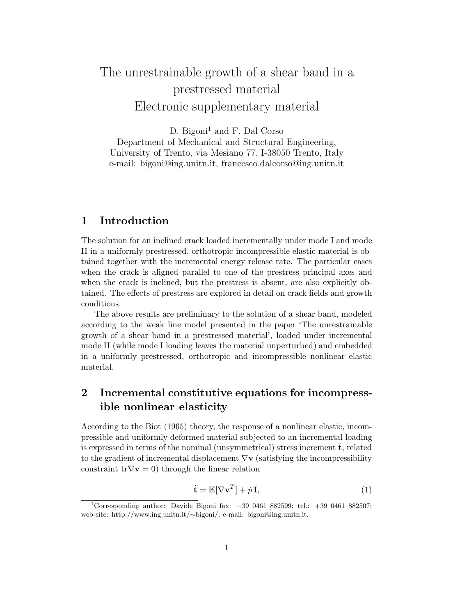# The unrestrainable growth of a shear band in a prestressed material – Electronic supplementary material –

D. Bigoni<sup>1</sup> and F. Dal Corso

Department of Mechanical and Structural Engineering, University of Trento, via Mesiano 77, I-38050 Trento, Italy e-mail: bigoni@ing.unitn.it, francesco.dalcorso@ing.unitn.it

# **1 Introduction**

The solution for an inclined crack loaded incrementally under mode I and mode II in a uniformly prestressed, orthotropic incompressible elastic material is obtained together with the incremental energy release rate. The particular cases when the crack is aligned parallel to one of the prestress principal axes and when the crack is inclined, but the prestress is absent, are also explicitly obtained. The effects of prestress are explored in detail on crack fields and growth conditions.

The above results are preliminary to the solution of a shear band, modeled according to the weak line model presented in the paper 'The unrestrainable growth of a shear band in a prestressed material', loaded under incremental mode II (while mode I loading leaves the material unperturbed) and embedded in a uniformly prestressed, orthotropic and incompressible nonlinear elastic material.

# **2 Incremental constitutive equations for incompressible nonlinear elasticity**

According to the Biot (1965) theory, the response of a nonlinear elastic, incompressible and uniformly deformed material subjected to an incremental loading is expressed in terms of the nominal (unsymmetrical) stress increment **t**, related to the gradient of incremental displacement ∇**v** (satisfying the incompressibility constraint  $tr\nabla v = 0$ ) through the linear relation

$$
\dot{\mathbf{t}} = \mathbb{K}[\nabla \mathbf{v}^T] + \dot{p}\,\mathbf{I},\tag{1}
$$

<sup>&</sup>lt;sup>1</sup>Corresponding author: Davide Bigoni fax:  $+39,0461,882599$ ; tel.:  $+39,0461,882507$ ; web-site: http://www.ing.unitn.it/∼bigoni/; e-mail: bigoni@ing.unitn.it.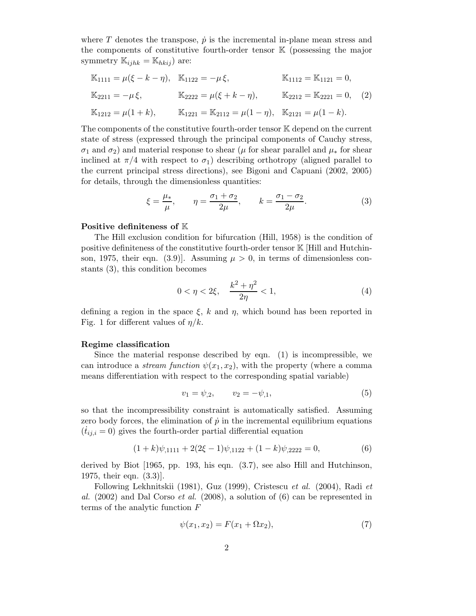where T denotes the transpose,  $\dot{p}$  is the incremental in-plane mean stress and the components of constitutive fourth-order tensor K (possessing the major symmetry  $\mathbb{K}_{ijkk} = \mathbb{K}_{hkij}$  are:

$$
\mathbb{K}_{1111} = \mu(\xi - k - \eta), \quad \mathbb{K}_{1122} = -\mu \xi, \quad \mathbb{K}_{1112} = \mathbb{K}_{1121} = 0, \n\mathbb{K}_{2211} = -\mu \xi, \quad \mathbb{K}_{2222} = \mu(\xi + k - \eta), \quad \mathbb{K}_{2212} = \mathbb{K}_{2221} = 0, (2) \n\mathbb{K}_{1212} = \mu(1 + k), \quad \mathbb{K}_{1221} = \mathbb{K}_{2112} = \mu(1 - \eta), \quad \mathbb{K}_{2121} = \mu(1 - k).
$$

The components of the constitutive fourth-order tensor K depend on the current state of stress (expressed through the principal components of Cauchy stress,  $\sigma_1$  and  $\sigma_2$ ) and material response to shear ( $\mu$  for shear parallel and  $\mu_*$  for shear inclined at  $\pi/4$  with respect to  $\sigma_1$ ) describing orthotropy (aligned parallel to the current principal stress directions), see Bigoni and Capuani (2002, 2005) for details, through the dimensionless quantities:

$$
\xi = \frac{\mu_*}{\mu}, \qquad \eta = \frac{\sigma_1 + \sigma_2}{2\mu}, \qquad k = \frac{\sigma_1 - \sigma_2}{2\mu}.
$$
 (3)

#### **Positive definiteness of** K

The Hill exclusion condition for bifurcation (Hill, 1958) is the condition of positive definiteness of the constitutive fourth-order tensor K [Hill and Hutchinson, 1975, their eqn.  $(3.9)$ . Assuming  $\mu > 0$ , in terms of dimensionless constants (3), this condition becomes

$$
0 < \eta < 2\xi, \quad \frac{k^2 + \eta^2}{2\eta} < 1,\tag{4}
$$

defining a region in the space  $\xi$ , k and  $\eta$ , which bound has been reported in Fig. 1 for different values of  $\eta/k$ .

#### **Regime classification**

Since the material response described by eqn. (1) is incompressible, we can introduce a *stream function*  $\psi(x_1, x_2)$ , with the property (where a comma means differentiation with respect to the corresponding spatial variable)

$$
v_1 = \psi_{,2}, \qquad v_2 = -\psi_{,1}, \tag{5}
$$

so that the incompressibility constraint is automatically satisfied. Assuming zero body forces, the elimination of  $\dot{p}$  in the incremental equilibrium equations  $(\dot{t}_{ij,i} = 0)$  gives the fourth-order partial differential equation

$$
(1+k)\psi_{,1111} + 2(2\xi - 1)\psi_{,1122} + (1-k)\psi_{,2222} = 0,
$$
\n(6)

derived by Biot [1965, pp. 193, his eqn. (3.7), see also Hill and Hutchinson, 1975, their eqn. (3.3)].

Following Lekhnitskii (1981), Guz (1999), Cristescu *et al.* (2004), Radi *et al.* (2002) and Dal Corso *et al.* (2008), a solution of (6) can be represented in terms of the analytic function  $F$ 

$$
\psi(x_1, x_2) = F(x_1 + \Omega x_2),\tag{7}
$$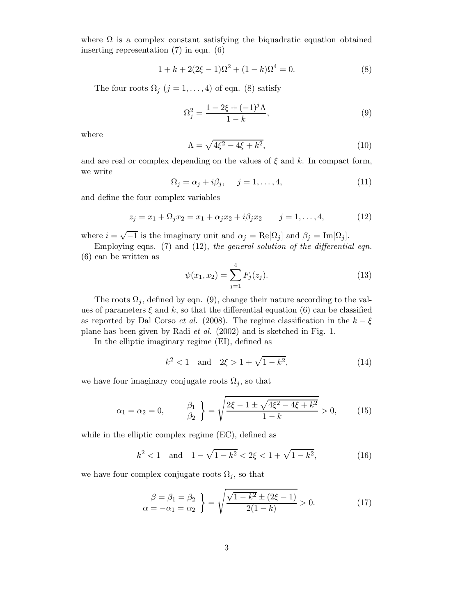where  $\Omega$  is a complex constant satisfying the biquadratic equation obtained inserting representation (7) in eqn. (6)

$$
1 + k + 2(2\xi - 1)\Omega^2 + (1 - k)\Omega^4 = 0.
$$
 (8)

The four roots  $\Omega_j$   $(j = 1, ..., 4)$  of eqn. (8) satisfy

$$
\Omega_j^2 = \frac{1 - 2\xi + (-1)^j \Lambda}{1 - k},\tag{9}
$$

where

$$
\Lambda = \sqrt{4\xi^2 - 4\xi + k^2},\tag{10}
$$

and are real or complex depending on the values of  $\xi$  and k. In compact form, we write

$$
\Omega_j = \alpha_j + i\beta_j, \quad j = 1, \dots, 4,
$$
\n(11)

and define the four complex variables

$$
z_j = x_1 + \Omega_j x_2 = x_1 + \alpha_j x_2 + i\beta_j x_2 \qquad j = 1, ..., 4,
$$
 (12)

where  $i = \sqrt{-1}$  is the imaginary unit and  $\alpha_j = \text{Re}[\Omega_j]$  and  $\beta_j = \text{Im}[\Omega_j]$ .

Employing eqns. (7) and (12), *the general solution of the differential eqn.* (6) can be written as

$$
\psi(x_1, x_2) = \sum_{j=1}^{4} F_j(z_j). \tag{13}
$$

The roots  $\Omega_j$ , defined by eqn. (9), change their nature according to the values of parameters  $\xi$  and k, so that the differential equation (6) can be classified as reported by Dal Corso *et al.* (2008). The regime classification in the  $k - \xi$ plane has been given by Radi *et al.* (2002) and is sketched in Fig. 1.

In the elliptic imaginary regime (EI), defined as

$$
k^2 < 1
$$
 and  $2\xi > 1 + \sqrt{1 - k^2}$ , (14)

we have four imaginary conjugate roots  $\Omega_j$ , so that

$$
\alpha_1 = \alpha_2 = 0, \qquad \beta_1 \atop \beta_2} = \sqrt{\frac{2\xi - 1 \pm \sqrt{4\xi^2 - 4\xi + k^2}}{1 - k}} > 0, \qquad (15)
$$

while in the elliptic complex regime (EC), defined as

$$
k^2 < 1
$$
 and  $1 - \sqrt{1 - k^2} < 2\xi < 1 + \sqrt{1 - k^2}$ , (16)

we have four complex conjugate roots  $\Omega_j$ , so that

$$
\begin{aligned}\n\beta &= \beta_1 = \beta_2 \\
\alpha &= -\alpha_1 = \alpha_2\n\end{aligned}\n\bigg\} = \sqrt{\frac{\sqrt{1 - k^2} \pm (2\xi - 1)}{2(1 - k)}} > 0.\n\tag{17}
$$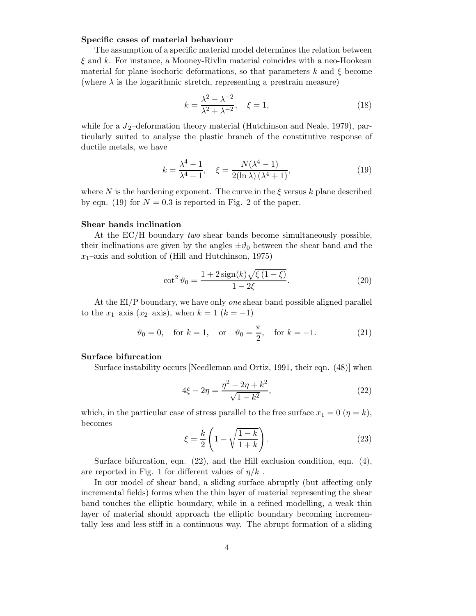#### **Specific cases of material behaviour**

The assumption of a specific material model determines the relation between  $\xi$  and k. For instance, a Mooney-Rivlin material coincides with a neo-Hookean material for plane isochoric deformations, so that parameters k and  $\xi$  become (where  $\lambda$  is the logarithmic stretch, representing a prestrain measure)

$$
k = \frac{\lambda^2 - \lambda^{-2}}{\lambda^2 + \lambda^{-2}}, \quad \xi = 1,
$$
\n(18)

while for a  $J_2$ -deformation theory material (Hutchinson and Neale, 1979), particularly suited to analyse the plastic branch of the constitutive response of ductile metals, we have

$$
k = \frac{\lambda^4 - 1}{\lambda^4 + 1}, \quad \xi = \frac{N(\lambda^4 - 1)}{2(\ln \lambda)(\lambda^4 + 1)},
$$
\n(19)

where N is the hardening exponent. The curve in the  $\xi$  versus k plane described by eqn. (19) for  $N = 0.3$  is reported in Fig. 2 of the paper.

#### **Shear bands inclination**

At the EC/H boundary *two* shear bands become simultaneously possible, their inclinations are given by the angles  $\pm\vartheta_0$  between the shear band and the  $x_1$ –axis and solution of (Hill and Hutchinson, 1975)

$$
\cot^2 \vartheta_0 = \frac{1 + 2\operatorname{sign}(k)\sqrt{\xi(1 - \xi)}}{1 - 2\xi}.
$$
 (20)

At the EI/P boundary, we have only *one* shear band possible aligned parallel to the x<sub>1</sub>–axis (x<sub>2</sub>–axis), when  $k = 1$  ( $k = -1$ )

$$
\vartheta_0 = 0
$$
, for  $k = 1$ , or  $\vartheta_0 = \frac{\pi}{2}$ , for  $k = -1$ . (21)

#### **Surface bifurcation**

Surface instability occurs [Needleman and Ortiz, 1991, their eqn. (48)] when

$$
4\xi - 2\eta = \frac{\eta^2 - 2\eta + k^2}{\sqrt{1 - k^2}},\tag{22}
$$

which, in the particular case of stress parallel to the free surface  $x_1 = 0$  ( $\eta = k$ ), becomes

$$
\xi = \frac{k}{2} \left( 1 - \sqrt{\frac{1-k}{1+k}} \right). \tag{23}
$$

Surface bifurcation, eqn.  $(22)$ , and the Hill exclusion condition, eqn.  $(4)$ , are reported in Fig. 1 for different values of  $\eta/k$ .

In our model of shear band, a sliding surface abruptly (but affecting only incremental fields) forms when the thin layer of material representing the shear band touches the elliptic boundary, while in a refined modelling, a weak thin layer of material should approach the elliptic boundary becoming incrementally less and less stiff in a continuous way. The abrupt formation of a sliding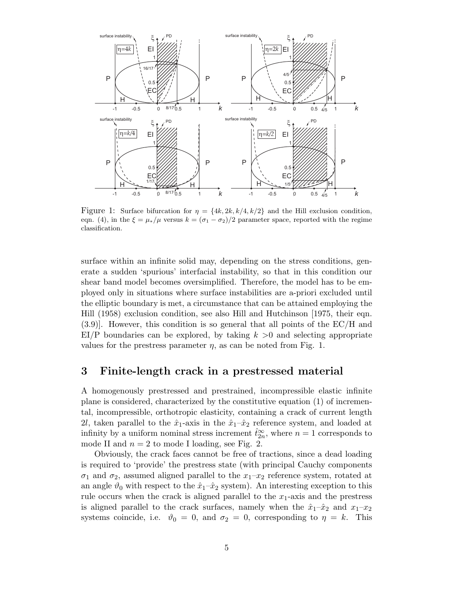

Figure 1: Surface bifurcation for  $\eta = \{4k, 2k, k/4, k/2\}$  and the Hill exclusion condition, eqn. (4), in the  $\xi = \mu_*/\mu$  versus  $k = (\sigma_1 - \sigma_2)/2$  parameter space, reported with the regime classification.

surface within an infinite solid may, depending on the stress conditions, generate a sudden 'spurious' interfacial instability, so that in this condition our shear band model becomes oversimplified. Therefore, the model has to be employed only in situations where surface instabilities are a-priori excluded until the elliptic boundary is met, a circumstance that can be attained employing the Hill (1958) exclusion condition, see also Hill and Hutchinson [1975, their eqn. (3.9)]. However, this condition is so general that all points of the EC/H and  $EI/P$  boundaries can be explored, by taking  $k > 0$  and selecting appropriate values for the prestress parameter  $\eta$ , as can be noted from Fig. 1.

# **3 Finite-length crack in a prestressed material**

A homogenously prestressed and prestrained, incompressible elastic infinite plane is considered, characterized by the constitutive equation (1) of incremental, incompressible, orthotropic elasticity, containing a crack of current length 2l, taken parallel to the  $\hat{x}_1$ -axis in the  $\hat{x}_1-\hat{x}_2$  reference system, and loaded at infinity by a uniform nominal stress increment  $\hat{t}_{2n}^{\infty}$ , where  $n = 1$  corresponds to mode II and  $n = 2$  to mode I loading, see Fig. 2.

Obviously, the crack faces cannot be free of tractions, since a dead loading is required to 'provide' the prestress state (with principal Cauchy components  $\sigma_1$  and  $\sigma_2$ , assumed aligned parallel to the  $x_1-x_2$  reference system, rotated at an angle  $\vartheta_0$  with respect to the  $\hat{x}_1-\hat{x}_2$  system). An interesting exception to this rule occurs when the crack is aligned parallel to the  $x_1$ -axis and the prestress is aligned parallel to the crack surfaces, namely when the  $\hat{x}_1-\hat{x}_2$  and  $x_1-x_2$ systems coincide, i.e.  $\vartheta_0 = 0$ , and  $\sigma_2 = 0$ , corresponding to  $\eta = k$ . This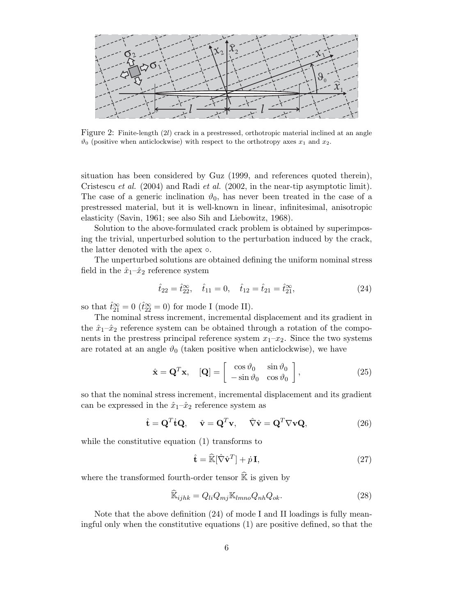

Figure 2: Finite-length (2l) crack in a prestressed, orthotropic material inclined at an angle  $\vartheta_0$  (positive when anticlockwise) with respect to the orthotropy axes  $x_1$  and  $x_2$ .

situation has been considered by Guz (1999, and references quoted therein), Cristescu *et al.* (2004) and Radi *et al.* (2002, in the near-tip asymptotic limit). The case of a generic inclination  $\vartheta_0$ , has never been treated in the case of a prestressed material, but it is well-known in linear, infinitesimal, anisotropic elasticity (Savin, 1961; see also Sih and Liebowitz, 1968).

Solution to the above-formulated crack problem is obtained by superimposing the trivial, unperturbed solution to the perturbation induced by the crack, the latter denoted with the apex  $\circ$ .

The unperturbed solutions are obtained defining the uniform nominal stress field in the  $\hat{x}_1 - \hat{x}_2$  reference system

$$
\hat{t}_{22} = \hat{t}_{22}^{\infty}, \quad \hat{t}_{11} = 0, \quad \hat{t}_{12} = \hat{t}_{21} = \hat{t}_{21}^{\infty},
$$
\n(24)

so that  $\hat{t}_{21}^{\infty} = 0$  ( $\hat{t}_{22}^{\infty} = 0$ ) for mode I (mode II).

The nominal stress increment, incremental displacement and its gradient in the  $\hat{x}_1-\hat{x}_2$  reference system can be obtained through a rotation of the components in the prestress principal reference system  $x_1-x_2$ . Since the two systems are rotated at an angle  $\vartheta_0$  (taken positive when anticlockwise), we have

$$
\hat{\mathbf{x}} = \mathbf{Q}^T \mathbf{x}, \quad [\mathbf{Q}] = \begin{bmatrix} \cos \vartheta_0 & \sin \vartheta_0 \\ -\sin \vartheta_0 & \cos \vartheta_0 \end{bmatrix}, \tag{25}
$$

so that the nominal stress increment, incremental displacement and its gradient can be expressed in the  $\hat{x}_1-\hat{x}_2$  reference system as

$$
\hat{\mathbf{t}} = \mathbf{Q}^T \dot{\mathbf{t}} \mathbf{Q}, \quad \hat{\mathbf{v}} = \mathbf{Q}^T \mathbf{v}, \quad \hat{\nabla} \hat{\mathbf{v}} = \mathbf{Q}^T \nabla \mathbf{v} \mathbf{Q}, \tag{26}
$$

while the constitutive equation (1) transforms to

$$
\hat{\mathbf{t}} = \hat{\mathbb{K}}[\hat{\nabla}\hat{\mathbf{v}}^T] + \dot{p}\,\mathbf{I},\tag{27}
$$

where the transformed fourth-order tensor  $\widehat{\mathbb{K}}$  is given by

$$
\widehat{\mathbb{K}}_{ijhk} = Q_{li} Q_{mj} \mathbb{K}_{lmno} Q_{nh} Q_{ok}.
$$
\n(28)

Note that the above definition (24) of mode I and II loadings is fully meaningful only when the constitutive equations (1) are positive defined, so that the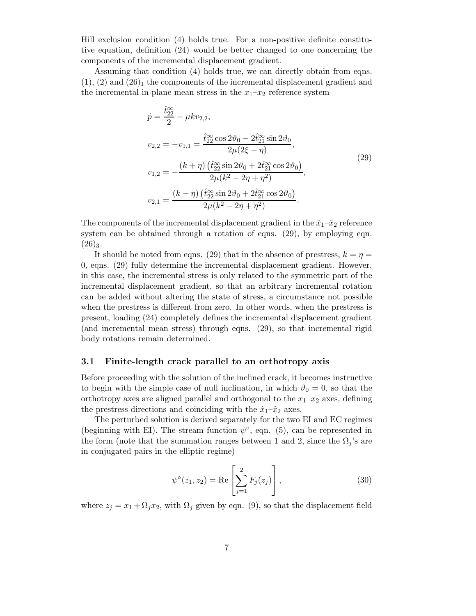Hill exclusion condition (4) holds true. For a non-positive definite constitutive equation, definition (24) would be better changed to one concerning the components of the incremental displacement gradient.

Assuming that condition (4) holds true, we can directly obtain from eqns.  $(1), (2)$  and  $(26)<sub>1</sub>$  the components of the incremental displacement gradient and the incremental in-plane mean stress in the  $x_1-x_2$  reference system

$$
\dot{p} = \frac{\hat{t}_{22}^{\infty}}{2} - \mu k v_{2,2},
$$
\n
$$
v_{2,2} = -v_{1,1} = \frac{\hat{t}_{22}^{\infty} \cos 2\vartheta_0 - 2\hat{t}_{21}^{\infty} \sin 2\vartheta_0}{2\mu(2\xi - \eta)},
$$
\n
$$
v_{1,2} = -\frac{(k+\eta)\left(\hat{t}_{22}^{\infty} \sin 2\vartheta_0 + 2\hat{t}_{21}^{\infty} \cos 2\vartheta_0\right)}{2\mu(k^2 - 2\eta + \eta^2)},
$$
\n
$$
v_{2,1} = \frac{(k-\eta)\left(\hat{t}_{22}^{\infty} \sin 2\vartheta_0 + 2\hat{t}_{21}^{\infty} \cos 2\vartheta_0\right)}{2\mu(k^2 - 2\eta + \eta^2)}.
$$
\n(29)

The components of the incremental displacement gradient in the  $\hat{x}_1-\hat{x}_2$  reference system can be obtained through a rotation of eqns. (29), by employing eqn.  $(26)_3.$ 

It should be noted from eqns. (29) that in the absence of prestress,  $k = \eta =$ 0, eqns. (29) fully determine the incremental displacement gradient. However, in this case, the incremental stress is only related to the symmetric part of the incremental displacement gradient, so that an arbitrary incremental rotation can be added without altering the state of stress, a circumstance not possible when the prestress is different from zero. In other words, when the prestress is present, loading (24) completely defines the incremental displacement gradient (and incremental mean stress) through eqns. (29), so that incremental rigid body rotations remain determined.

#### **3.1 Finite-length crack parallel to an orthotropy axis**

Before proceeding with the solution of the inclined crack, it becomes instructive to begin with the simple case of null inclination, in which  $\vartheta_0 = 0$ , so that the orthotropy axes are aligned parallel and orthogonal to the  $x_1-x_2$  axes, defining the prestress directions and coinciding with the  $\hat{x}_1-\hat{x}_2$  axes.

The perturbed solution is derived separately for the two EI and EC regimes (beginning with EI). The stream function  $\psi^{\circ}$ , eqn. (5), can be represented in the form (note that the summation ranges between 1 and 2, since the  $\Omega_i$ 's are in conjugated pairs in the elliptic regime)

$$
\psi^{\circ}(z_1, z_2) = \text{Re}\left[\sum_{j=1}^{2} F_j(z_j)\right],\tag{30}
$$

where  $z_i = x_1 + \Omega_i x_2$ , with  $\Omega_i$  given by eqn. (9), so that the displacement field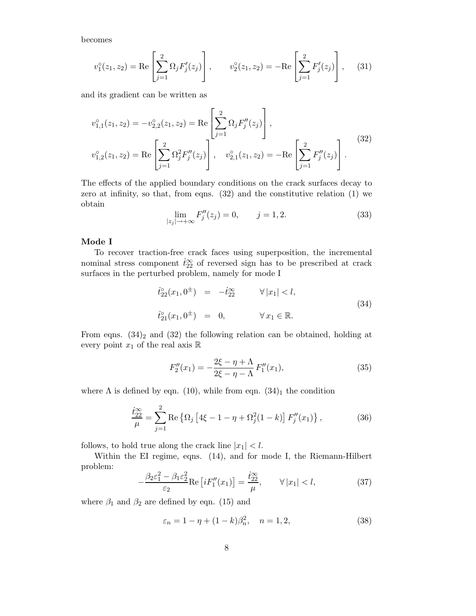becomes

$$
v_1^{\circ}(z_1, z_2) = \text{Re}\left[\sum_{j=1}^2 \Omega_j F'_j(z_j)\right], \qquad v_2^{\circ}(z_1, z_2) = -\text{Re}\left[\sum_{j=1}^2 F'_j(z_j)\right], \quad (31)
$$

and its gradient can be written as

$$
v_{1,1}^{\circ}(z_1, z_2) = -v_{2,2}^{\circ}(z_1, z_2) = \text{Re}\left[\sum_{j=1}^{2} \Omega_j F_j''(z_j)\right],
$$
  

$$
v_{1,2}^{\circ}(z_1, z_2) = \text{Re}\left[\sum_{j=1}^{2} \Omega_j^2 F_j''(z_j)\right], \quad v_{2,1}^{\circ}(z_1, z_2) = -\text{Re}\left[\sum_{j=1}^{2} F_j''(z_j)\right].
$$
  
(32)

The effects of the applied boundary conditions on the crack surfaces decay to zero at infinity, so that, from eqns. (32) and the constitutive relation (1) we obtain

$$
\lim_{|z_j| \to +\infty} F_j''(z_j) = 0, \qquad j = 1, 2. \tag{33}
$$

#### **Mode I**

To recover traction-free crack faces using superposition, the incremental nominal stress component  $\dot{t}_{22}^{\infty}$  of reversed sign has to be prescribed at crack surfaces in the perturbed problem, namely for mode I

$$
\begin{array}{rcl}\n\dot{t}_{22}^{\circ}(x_1, 0^{\pm}) & = & -\dot{t}_{22}^{\infty} & \forall |x_1| < l, \\
\dot{t}_{21}^{\circ}(x_1, 0^{\pm}) & = & 0, & \forall x_1 \in \mathbb{R}.\n\end{array} \tag{34}
$$

From eqns.  $(34)_2$  and  $(32)$  the following relation can be obtained, holding at every point  $x_1$  of the real axis  $\mathbb R$ 

$$
F_2''(x_1) = -\frac{2\xi - \eta + \Lambda}{2\xi - \eta - \Lambda} F_1''(x_1),\tag{35}
$$

where  $\Lambda$  is defined by eqn. (10), while from eqn. (34)<sub>1</sub> the condition

$$
\frac{\dot{t}_{22}^{\infty}}{\mu} = \sum_{j=1}^{2} \text{Re} \left\{ \Omega_j \left[ 4\xi - 1 - \eta + \Omega_j^2 (1 - k) \right] F_j''(x_1) \right\},\tag{36}
$$

follows, to hold true along the crack line  $|x_1| < l$ .

Within the EI regime, eqns. (14), and for mode I, the Riemann-Hilbert problem:

$$
-\frac{\beta_2 \varepsilon_1^2 - \beta_1 \varepsilon_2^2}{\varepsilon_2} \text{Re}\left[iF_1''(x_1)\right] = \frac{\dot{t}_{22}^\infty}{\mu}, \qquad \forall |x_1| < l,\tag{37}
$$

where  $\beta_1$  and  $\beta_2$  are defined by eqn. (15) and

$$
\varepsilon_n = 1 - \eta + (1 - k)\beta_n^2, \quad n = 1, 2,
$$
\n(38)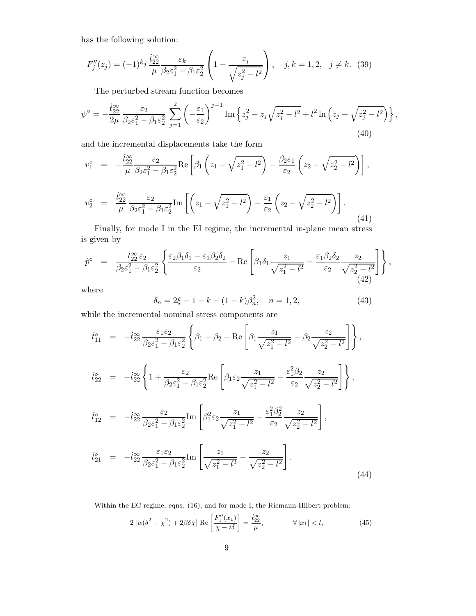has the following solution:

$$
F''_j(z_j) = (-1)^k i \frac{\dot{t}_{22}^{\infty}}{\mu} \frac{\varepsilon_k}{\beta_2 \varepsilon_1^2 - \beta_1 \varepsilon_2^2} \left( 1 - \frac{z_j}{\sqrt{z_j^2 - l^2}} \right), \quad j, k = 1, 2, \quad j \neq k. \tag{39}
$$

The perturbed stream function becomes

$$
\psi^{\circ} = -\frac{\dot{t}_{22}^{\infty}}{2\mu} \frac{\varepsilon_2}{\beta_2 \varepsilon_1^2 - \beta_1 \varepsilon_2^2} \sum_{j=1}^2 \left( -\frac{\varepsilon_1}{\varepsilon_2} \right)^{j-1} \operatorname{Im} \left\{ z_j^2 - z_j \sqrt{z_j^2 - l^2} + l^2 \ln \left( z_j + \sqrt{z_j^2 - l^2} \right) \right\},\tag{40}
$$

and the incremental displacements take the form

$$
v_1^{\circ} = -\frac{\dot{t}_{22}^{\infty}}{\mu} \frac{\varepsilon_2}{\beta_2 \varepsilon_1^2 - \beta_1 \varepsilon_2^2} \text{Re}\left[\beta_1 \left(z_1 - \sqrt{z_1^2 - l^2}\right) - \frac{\beta_2 \varepsilon_1}{\varepsilon_2} \left(z_2 - \sqrt{z_2^2 - l^2}\right)\right],
$$

$$
v_2^{\circ} = \frac{\dot{t}_{22}^{\infty}}{\mu} \frac{\varepsilon_2}{\beta_2 \varepsilon_1^2 - \beta_1 \varepsilon_2^2} \text{Im}\left[\left(z_1 - \sqrt{z_1^2 - l^2}\right) - \frac{\varepsilon_1}{\varepsilon_2} \left(z_2 - \sqrt{z_2^2 - l^2}\right)\right].
$$

Finally, for mode I in the EI regime, the incremental in-plane mean stress is given by

$$
\dot{p}^{\circ} = \frac{\dot{t}_{22}^{\infty} \varepsilon_2}{\beta_2 \varepsilon_1^2 - \beta_1 \varepsilon_2^2} \left\{ \frac{\varepsilon_2 \beta_1 \delta_1 - \varepsilon_1 \beta_2 \delta_2}{\varepsilon_2} - \text{Re} \left[ \beta_1 \delta_1 \frac{z_1}{\sqrt{z_1^2 - l^2}} - \frac{\varepsilon_1 \beta_2 \delta_2}{\varepsilon_2} \frac{z_2}{\sqrt{z_2^2 - l^2}} \right] \right\},\tag{42}
$$

where

$$
\delta_n = 2\xi - 1 - k - (1 - k)\beta_n^2, \quad n = 1, 2,
$$
\n(43)

(41)

while the incremental nominal stress components are

$$
\dot{t}_{11}^{\circ} = -\dot{t}_{22}^{\infty} \frac{\varepsilon_1 \varepsilon_2}{\beta_2 \varepsilon_1^2 - \beta_1 \varepsilon_2^2} \left\{ \beta_1 - \beta_2 - \text{Re} \left[ \beta_1 \frac{z_1}{\sqrt{z_1^2 - l^2}} - \beta_2 \frac{z_2}{\sqrt{z_2^2 - l^2}} \right] \right\},
$$
\n
$$
\dot{t}_{22}^{\circ} = -\dot{t}_{22}^{\infty} \left\{ 1 + \frac{\varepsilon_2}{\beta_2 \varepsilon_1^2 - \beta_1 \varepsilon_2^2} \text{Re} \left[ \beta_1 \varepsilon_2 \frac{z_1}{\sqrt{z_1^2 - l^2}} - \frac{\varepsilon_1^2 \beta_2}{\varepsilon_2} \frac{z_2}{\sqrt{z_2^2 - l^2}} \right] \right\},
$$
\n
$$
\dot{t}_{12}^{\circ} = -\dot{t}_{22}^{\infty} \frac{\varepsilon_2}{\beta_2 \varepsilon_1^2 - \beta_1 \varepsilon_2^2} \text{Im} \left[ \beta_1^2 \varepsilon_2 \frac{z_1}{\sqrt{z_1^2 - l^2}} - \frac{\varepsilon_1^2 \beta_2^2}{\varepsilon_2} \frac{z_2}{\sqrt{z_2^2 - l^2}} \right],
$$
\n
$$
\dot{t}_{21}^{\circ} = -\dot{t}_{22}^{\infty} \frac{\varepsilon_1 \varepsilon_2}{\beta_2 \varepsilon_1^2 - \beta_1 \varepsilon_2^2} \text{Im} \left[ \frac{z_1}{\sqrt{z_1^2 - l^2}} - \frac{z_2}{\sqrt{z_2^2 - l^2}} \right].
$$
\n(44)

Within the EC regime, eqns. (16), and for mode I, the Riemann-Hilbert problem:

$$
2\left[\alpha(\delta^2 - \chi^2) + 2\beta\delta\chi\right] \text{Re}\left[\frac{F_1''(x_1)}{\chi - i\delta}\right] = \frac{\dot{t}_{22}^{\infty}}{\mu}, \qquad \forall |x_1| < l,\tag{45}
$$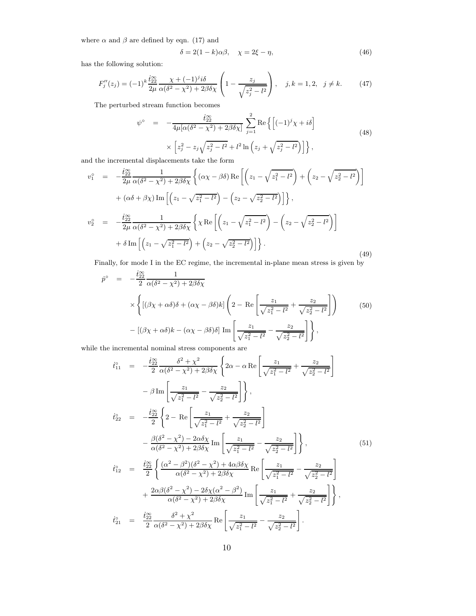where  $\alpha$  and  $\beta$  are defined by eqn. (17) and

$$
\delta = 2(1 - k)\alpha\beta, \quad \chi = 2\xi - \eta,\tag{46}
$$

has the following solution:

$$
F_j''(z_j) = (-1)^k \frac{i_{22}^\infty}{2\mu} \frac{\chi + (-1)^j i\delta}{\alpha(\delta^2 - \chi^2) + 2\beta \delta \chi} \left(1 - \frac{z_j}{\sqrt{z_j^2 - l^2}}\right), \quad j, k = 1, 2, \quad j \neq k. \tag{47}
$$

The perturbed stream function becomes

$$
\psi^{\circ} = -\frac{\dot{t}_{22}^{\circ}}{4\mu[\alpha(\delta^2 - \chi^2) + 2\beta\delta\chi]} \sum_{j=1}^{2} \text{Re}\left\{ \left[ (-1)^j \chi + i\delta \right] \times \left[ z_j^2 - z_j \sqrt{z_j^2 - l^2} + l^2 \ln \left( z_j + \sqrt{z_j^2 - l^2} \right) \right] \right\},\tag{48}
$$

and the incremental displacements take the form

$$
v_1^{\circ} = -\frac{\dot{t}_{22}^{\infty}}{2\mu} \frac{1}{\alpha(\delta^2 - \chi^2) + 2\beta\delta\chi} \left\{ (\alpha\chi - \beta\delta) \operatorname{Re} \left[ \left( z_1 - \sqrt{z_1^2 - l^2} \right) + \left( z_2 - \sqrt{z_2^2 - l^2} \right) \right] \right\} + (\alpha\delta + \beta\chi) \operatorname{Im} \left[ \left( z_1 - \sqrt{z_1^2 - l^2} \right) - \left( z_2 - \sqrt{z_2^2 - l^2} \right) \right] \right\},
$$
  

$$
v_2^{\circ} = -\frac{\dot{t}_{22}^{\infty}}{2\mu} \frac{1}{\alpha(\delta^2 - \chi^2) + 2\beta\delta\chi} \left\{ \chi \operatorname{Re} \left[ \left( z_1 - \sqrt{z_1^2 - l^2} \right) - \left( z_2 - \sqrt{z_2^2 - l^2} \right) \right] \right\} + \delta \operatorname{Im} \left[ \left( z_1 - \sqrt{z_1^2 - l^2} \right) + \left( z_2 - \sqrt{z_2^2 - l^2} \right) \right] \right\}.
$$
  
(49)

Finally, for mode I in the EC regime, the incremental in-plane mean stress is given by

$$
\dot{p}^{\circ} = -\frac{\dot{t}_{22}^{\infty}}{2} \frac{1}{\alpha(\delta^2 - \chi^2) + 2\beta\delta\chi}
$$
\n
$$
\times \left\{ \left[ (\beta\chi + \alpha\delta)\delta + (\alpha\chi - \beta\delta)k \right] \left( 2 - \text{Re} \left[ \frac{z_1}{\sqrt{z_1^2 - l^2}} + \frac{z_2}{\sqrt{z_2^2 - l^2}} \right] \right) - \left[ (\beta\chi + \alpha\delta)k - (\alpha\chi - \beta\delta)\delta \right] \text{Im} \left[ \frac{z_1}{\sqrt{z_1^2 - l^2}} - \frac{z_2}{\sqrt{z_2^2 - l^2}} \right] \right\},\tag{50}
$$

while the incremental nominal stress components are

$$
\dot{t}_{11}^{0} = -\frac{\dot{t}_{22}^{20}}{2} \frac{\delta^{2} + \chi^{2}}{\alpha(\delta^{2} - \chi^{2}) + 2\beta\delta\chi} \left\{ 2\alpha - \alpha \operatorname{Re} \left[ \frac{z_{1}}{\sqrt{z_{1}^{2} - l^{2}}} + \frac{z_{2}}{\sqrt{z_{2}^{2} - l^{2}}} \right] - \beta \operatorname{Im} \left[ \frac{z_{1}}{\sqrt{z_{1}^{2} - l^{2}}} - \frac{z_{2}}{\sqrt{z_{2}^{2} - l^{2}}} \right] \right\},
$$
\n
$$
\dot{t}_{22}^{0} = -\frac{\dot{t}_{22}^{20}}{2} \left\{ 2 - \operatorname{Re} \left[ \frac{z_{1}}{\sqrt{z_{1}^{2} - l^{2}}} + \frac{z_{2}}{\sqrt{z_{2}^{2} - l^{2}}} \right] - \frac{\beta(\delta^{2} - \chi^{2}) - 2\alpha\delta\chi}{\alpha(\delta^{2} - \chi^{2}) + 2\beta\delta\chi} \operatorname{Im} \left[ \frac{z_{1}}{\sqrt{z_{1}^{2} - l^{2}}} - \frac{z_{2}}{\sqrt{z_{2}^{2} - l^{2}}} \right] \right\}, \qquad (51)
$$
\n
$$
\dot{t}_{12}^{0} = \frac{\dot{t}_{22}^{20}}{2} \left\{ \frac{(\alpha^{2} - \beta^{2})(\delta^{2} - \chi^{2}) + 4\alpha\beta\delta\chi}{\alpha(\delta^{2} - \chi^{2}) + 2\beta\delta\chi} \operatorname{Re} \left[ \frac{z_{1}}{\sqrt{z_{1}^{2} - l^{2}}} - \frac{z_{2}}{\sqrt{z_{2}^{2} - l^{2}}} \right] + \frac{2\alpha\beta(\delta^{2} - \chi^{2}) - 2\delta\chi(\alpha^{2} - \beta^{2})}{\alpha(\delta^{2} - \chi^{2}) + 2\beta\delta\chi} \operatorname{Im} \left[ \frac{z_{1}}{\sqrt{z_{1}^{2} - l^{2}}} + \frac{z_{2}}{\sqrt{z_{2}^{2} - l^{2}}} \right] \right\},
$$
\n
$$
\dot{t}_{21}^{0} = \frac{\dot{t}_{22}^{20}}{2} \frac{\delta^{2} + \chi^{2}}{\alpha(\delta^{2} - \chi
$$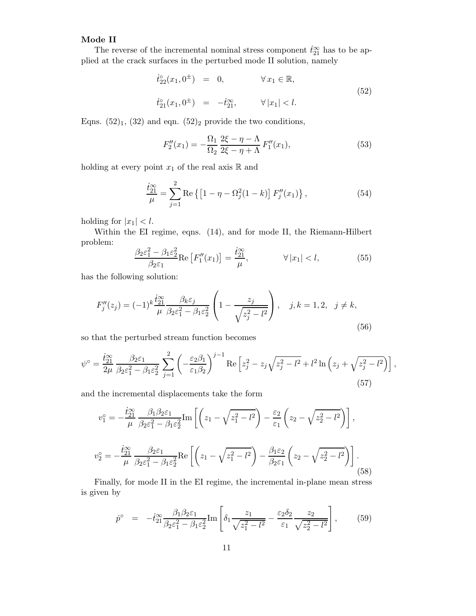### **Mode II**

The reverse of the incremental nominal stress component  $\dot{t}_{21}^{\infty}$  has to be applied at the crack surfaces in the perturbed mode II solution, namely

$$
\dot{t}_{22}^{\circ}(x_1, 0^{\pm}) = 0, \qquad \forall x_1 \in \mathbb{R},
$$
  
\n
$$
\dot{t}_{21}^{\circ}(x_1, 0^{\pm}) = -\dot{t}_{21}^{\infty}, \qquad \forall |x_1| < l.
$$
\n(52)

Eqns.  $(52)_1$ ,  $(32)$  and eqn.  $(52)_2$  provide the two conditions,

$$
F_2''(x_1) = -\frac{\Omega_1}{\Omega_2} \frac{2\xi - \eta - \Lambda}{2\xi - \eta + \Lambda} F_1''(x_1),\tag{53}
$$

holding at every point  $x_1$  of the real axis  $\mathbb R$  and

$$
\frac{\dot{t}_{21}^{\infty}}{\mu} = \sum_{j=1}^{2} \text{Re}\left\{ \left[ 1 - \eta - \Omega_j^2 (1 - k) \right] F_j''(x_1) \right\},\tag{54}
$$

holding for  $|x_1| < l$ .

Within the EI regime, eqns. (14), and for mode II, the Riemann-Hilbert problem:

$$
\frac{\beta_2 \varepsilon_1^2 - \beta_1 \varepsilon_2^2}{\beta_2 \varepsilon_1} \text{Re}\left[F_1''(x_1)\right] = \frac{\dot{t}_{21}^\infty}{\mu}, \qquad \forall |x_1| < l,\tag{55}
$$

has the following solution:

$$
F''_j(z_j) = (-1)^k \frac{\dot{t}_{21}^{\infty}}{\mu} \frac{\beta_k \varepsilon_j}{\beta_2 \varepsilon_1^2 - \beta_1 \varepsilon_2^2} \left( 1 - \frac{z_j}{\sqrt{z_j^2 - l^2}} \right), \quad j, k = 1, 2, \quad j \neq k,
$$
\n(56)

so that the perturbed stream function becomes

$$
\psi^{\circ} = \frac{\dot{t}_{21}^{\infty}}{2\mu} \frac{\beta_2 \varepsilon_1}{\beta_2 \varepsilon_1^2 - \beta_1 \varepsilon_2^2} \sum_{j=1}^2 \left( -\frac{\varepsilon_2 \beta_1}{\varepsilon_1 \beta_2} \right)^{j-1} \text{Re} \left[ z_j^2 - z_j \sqrt{z_j^2 - l^2} + l^2 \ln \left( z_j + \sqrt{z_j^2 - l^2} \right) \right],\tag{57}
$$

and the incremental displacements take the form

$$
v_1^\circ = -\frac{\dot{t}_{21}^\infty}{\mu} \frac{\beta_1 \beta_2 \varepsilon_1}{\beta_2 \varepsilon_1^2 - \beta_1 \varepsilon_2^2} \text{Im}\left[ \left( z_1 - \sqrt{z_1^2 - l^2} \right) - \frac{\varepsilon_2}{\varepsilon_1} \left( z_2 - \sqrt{z_2^2 - l^2} \right) \right],
$$
  

$$
v_2^\circ = -\frac{\dot{t}_{21}^\infty}{\mu} \frac{\beta_2 \varepsilon_1}{\beta_2 \varepsilon_1^2 - \beta_1 \varepsilon_2^2} \text{Re}\left[ \left( z_1 - \sqrt{z_1^2 - l^2} \right) - \frac{\beta_1 \varepsilon_2}{\beta_2 \varepsilon_1} \left( z_2 - \sqrt{z_2^2 - l^2} \right) \right].
$$
 (58)

Finally, for mode II in the EI regime, the incremental in-plane mean stress is given by

$$
\dot{p}^{\circ} = -\dot{t}_{21}^{\infty} \frac{\beta_1 \beta_2 \varepsilon_1}{\beta_2 \varepsilon_1^2 - \beta_1 \varepsilon_2^2} \text{Im} \left[ \delta_1 \frac{z_1}{\sqrt{z_1^2 - l^2}} - \frac{\varepsilon_2 \delta_2}{\varepsilon_1} \frac{z_2}{\sqrt{z_2^2 - l^2}} \right],
$$
 (59)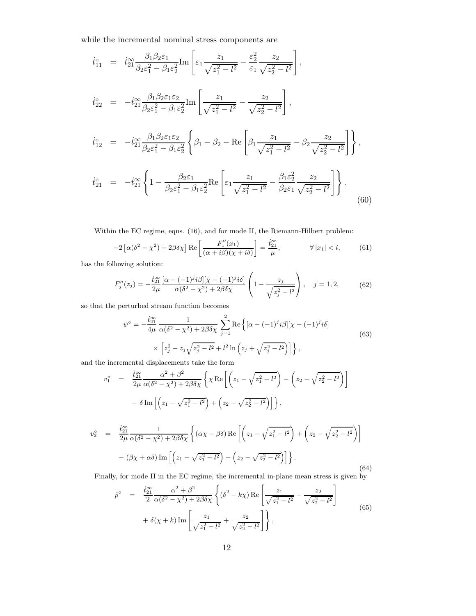while the incremental nominal stress components are

$$
\dot{t}_{11}^{\circ} = \dot{t}_{21}^{\infty} \frac{\beta_1 \beta_2 \varepsilon_1}{\beta_2 \varepsilon_1^2 - \beta_1 \varepsilon_2^2} \text{Im} \left[ \varepsilon_1 \frac{z_1}{\sqrt{z_1^2 - l^2}} - \frac{\varepsilon_2^2}{\varepsilon_1} \frac{z_2}{\sqrt{z_2^2 - l^2}} \right],
$$
\n
$$
\dot{t}_{22}^{\circ} = -\dot{t}_{21}^{\infty} \frac{\beta_1 \beta_2 \varepsilon_1 \varepsilon_2}{\beta_2 \varepsilon_1^2 - \beta_1 \varepsilon_2^2} \text{Im} \left[ \frac{z_1}{\sqrt{z_1^2 - l^2}} - \frac{z_2}{\sqrt{z_2^2 - l^2}} \right],
$$
\n
$$
\dot{t}_{12}^{\circ} = -\dot{t}_{21}^{\infty} \frac{\beta_1 \beta_2 \varepsilon_1 \varepsilon_2}{\beta_2 \varepsilon_1^2 - \beta_1 \varepsilon_2^2} \left\{ \beta_1 - \beta_2 - \text{Re} \left[ \beta_1 \frac{z_1}{\sqrt{z_1^2 - l^2}} - \beta_2 \frac{z_2}{\sqrt{z_2^2 - l^2}} \right] \right\},
$$
\n
$$
\dot{t}_{21}^{\circ} = -\dot{t}_{21}^{\infty} \left\{ 1 - \frac{\beta_2 \varepsilon_1}{\beta_2 \varepsilon_1^2 - \beta_1 \varepsilon_2^2} \text{Re} \left[ \varepsilon_1 \frac{z_1}{\sqrt{z_1^2 - l^2}} - \frac{\beta_1 \varepsilon_2^2}{\beta_2 \varepsilon_1} \frac{z_2}{\sqrt{z_2^2 - l^2}} \right] \right\}.
$$
\n(60)

Within the EC regime, eqns. (16), and for mode II, the Riemann-Hilbert problem:

$$
-2\left[\alpha(\delta^2-\chi^2)+2\beta\delta\chi\right]\text{Re}\left[\frac{F_1''(x_1)}{(\alpha+i\beta)(\chi+i\delta)}\right]=\frac{\dot{t}_{21}^{\infty}}{\mu}, \qquad \forall |x_1|
$$

has the following solution:

$$
F_j''(z_j) = -\frac{\dot{t}_{21}^{\infty}}{2\mu} \frac{[\alpha - (-1)^j i\beta][\chi - (-1)^j i\delta]}{\alpha(\delta^2 - \chi^2) + 2\beta\delta\chi} \left(1 - \frac{z_j}{\sqrt{z_j^2 - l^2}}\right), \quad j = 1, 2,
$$
 (62)

so that the perturbed stream function becomes

$$
\psi^{\circ} = -\frac{\dot{t}_{21}^{\circ\circ}}{4\mu} \frac{1}{\alpha(\delta^2 - \chi^2) + 2\beta\delta\chi} \sum_{j=1}^{2} \text{Re}\left\{ [\alpha - (-1)^j i\beta] [\chi - (-1)^j i\delta] \times \left[ z_j^2 - z_j \sqrt{z_j^2 - l^2} + l^2 \ln \left( z_j + \sqrt{z_j^2 - l^2} \right) \right] \right\},\tag{63}
$$

and the incremental displacements take the form

$$
v_1^{\circ} = \frac{i_{21}^{\infty}}{2\mu} \frac{\alpha^2 + \beta^2}{\alpha(\delta^2 - \chi^2) + 2\beta\delta\chi} \left\{ \chi \operatorname{Re} \left[ \left( z_1 - \sqrt{z_1^2 - l^2} \right) - \left( z_2 - \sqrt{z_2^2 - l^2} \right) \right] - \delta \operatorname{Im} \left[ \left( z_1 - \sqrt{z_1^2 - l^2} \right) + \left( z_2 - \sqrt{z_2^2 - l^2} \right) \right] \right\},
$$

$$
v_2^{\circ} = \frac{\dot{t}_{21}^{\infty}}{2\mu} \frac{1}{\alpha(\delta^2 - \chi^2) + 2\beta\delta\chi} \left\{ (\alpha\chi - \beta\delta) \operatorname{Re} \left[ \left( z_1 - \sqrt{z_1^2 - l^2} \right) + \left( z_2 - \sqrt{z_2^2 - l^2} \right) \right] - (\beta\chi + \alpha\delta) \operatorname{Im} \left[ \left( z_1 - \sqrt{z_1^2 - l^2} \right) - \left( z_2 - \sqrt{z_2^2 - l^2} \right) \right] \right\}.
$$
\n(64)

Finally, for mode II in the EC regime, the incremental in-plane mean stress is given by

$$
\dot{p}^{\circ} = \frac{\dot{t}_{21}^{\infty}}{2} \frac{\alpha^2 + \beta^2}{\alpha(\delta^2 - \chi^2) + 2\beta\delta\chi} \left\{ (\delta^2 - k\chi) \operatorname{Re} \left[ \frac{z_1}{\sqrt{z_1^2 - l^2}} - \frac{z_2}{\sqrt{z_2^2 - l^2}} \right] + \delta(\chi + k) \operatorname{Im} \left[ \frac{z_1}{\sqrt{z_1^2 - l^2}} + \frac{z_2}{\sqrt{z_2^2 - l^2}} \right] \right\},
$$
\n(65)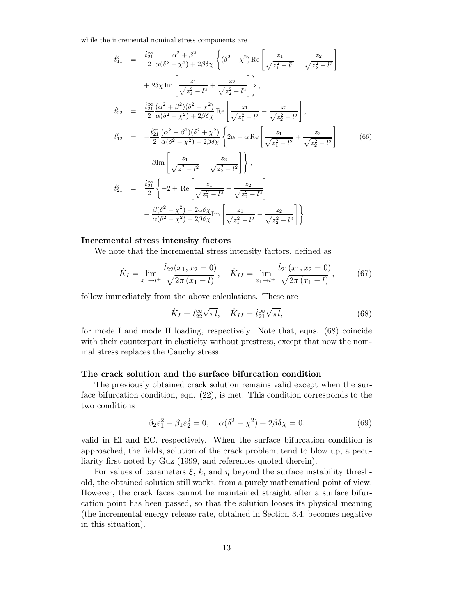while the incremental nominal stress components are

$$
\dot{t}_{11}^{0} = \frac{\dot{t}_{21}^{\infty}}{2} \frac{\alpha^{2} + \beta^{2}}{\alpha(\delta^{2} - \chi^{2}) + 2\beta\delta\chi} \left\{ (\delta^{2} - \chi^{2}) \operatorname{Re} \left[ \frac{z_{1}}{\sqrt{z_{1}^{2} - l^{2}}} - \frac{z_{2}}{\sqrt{z_{2}^{2} - l^{2}}} \right] \right\} \n+ 2\delta\chi \operatorname{Im} \left[ \frac{z_{1}}{\sqrt{z_{1}^{2} - l^{2}}} + \frac{z_{2}}{\sqrt{z_{2}^{2} - l^{2}}} \right] \right\}, \n\dot{t}_{22}^{0} = \frac{\dot{t}_{21}^{\infty}}{2} \frac{(\alpha^{2} + \beta^{2})(\delta^{2} + \chi^{2})}{\alpha(\delta^{2} - \chi^{2}) + 2\beta\delta\chi} \operatorname{Re} \left[ \frac{z_{1}}{\sqrt{z_{1}^{2} - l^{2}}} - \frac{z_{2}}{\sqrt{z_{2}^{2} - l^{2}}} \right], \n\dot{t}_{12}^{0} = -\frac{\dot{t}_{21}^{\infty}}{2} \frac{(\alpha^{2} + \beta^{2})(\delta^{2} + \chi^{2})}{\alpha(\delta^{2} - \chi^{2}) + 2\beta\delta\chi} \left\{ 2\alpha - \alpha \operatorname{Re} \left[ \frac{z_{1}}{\sqrt{z_{1}^{2} - l^{2}}} + \frac{z_{2}}{\sqrt{z_{2}^{2} - l^{2}}} \right] \right\} \n- \beta \operatorname{Im} \left[ \frac{z_{1}}{\sqrt{z_{1}^{2} - l^{2}}} - \frac{z_{2}}{\sqrt{z_{2}^{2} - l^{2}}} \right] \right\}, \n\dot{t}_{21}^{0} = \frac{\dot{t}_{21}^{\infty}}{2} \left\{ -2 + \operatorname{Re} \left[ \frac{z_{1}}{\sqrt{z_{1}^{2} - l^{2}}} + \frac{z_{2}}{\sqrt{z_{2}^{2} - l^{2}}} \right] \right\} \n- \frac{\beta(\delta^{2} - \chi^{2}) - 2\alpha\delta\chi}{\alpha(\delta^{2} - \chi^{2}) + 2\beta\delta\chi} \operatorname{Im} \left[ \frac{z_{1}}{\sqrt{z_{1}^{2} -
$$

#### **Incremental stress intensity factors**

We note that the incremental stress intensity factors, defined as

$$
\dot{K}_I = \lim_{x_1 \to l^+} \frac{\dot{t}_{22}(x_1, x_2 = 0)}{\sqrt{2\pi (x_1 - l)}}, \quad \dot{K}_{II} = \lim_{x_1 \to l^+} \frac{\dot{t}_{21}(x_1, x_2 = 0)}{\sqrt{2\pi (x_1 - l)}},\tag{67}
$$

follow immediately from the above calculations. These are

$$
\dot{K}_I = \dot{t}_{22}^{\infty} \sqrt{\pi l}, \quad \dot{K}_{II} = \dot{t}_{21}^{\infty} \sqrt{\pi l}, \tag{68}
$$

for mode I and mode II loading, respectively. Note that, eqns. (68) coincide with their counterpart in elasticity without prestress, except that now the nominal stress replaces the Cauchy stress.

#### **The crack solution and the surface bifurcation condition**

The previously obtained crack solution remains valid except when the surface bifurcation condition, eqn. (22), is met. This condition corresponds to the two conditions

$$
\beta_2 \varepsilon_1^2 - \beta_1 \varepsilon_2^2 = 0, \quad \alpha(\delta^2 - \chi^2) + 2\beta \delta \chi = 0,
$$
\n(69)

valid in EI and EC, respectively. When the surface bifurcation condition is approached, the fields, solution of the crack problem, tend to blow up, a peculiarity first noted by Guz (1999, and references quoted therein).

For values of parameters  $\xi$ , k, and  $\eta$  beyond the surface instability threshold, the obtained solution still works, from a purely mathematical point of view. However, the crack faces cannot be maintained straight after a surface bifurcation point has been passed, so that the solution looses its physical meaning (the incremental energy release rate, obtained in Section 3.4, becomes negative in this situation).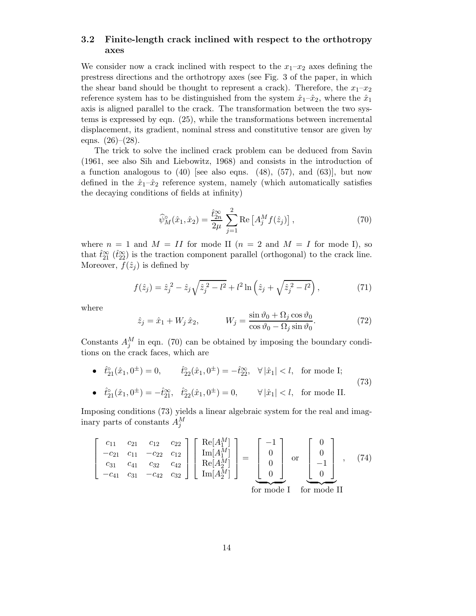## **3.2 Finite-length crack inclined with respect to the orthotropy axes**

We consider now a crack inclined with respect to the  $x_1-x_2$  axes defining the prestress directions and the orthotropy axes (see Fig. 3 of the paper, in which the shear band should be thought to represent a crack). Therefore, the  $x_1-x_2$ reference system has to be distinguished from the system  $\hat{x}_1-\hat{x}_2$ , where the  $\hat{x}_1$ axis is aligned parallel to the crack. The transformation between the two systems is expressed by eqn. (25), while the transformations between incremental displacement, its gradient, nominal stress and constitutive tensor are given by eqns.  $(26)-(28)$ .

The trick to solve the inclined crack problem can be deduced from Savin (1961, see also Sih and Liebowitz, 1968) and consists in the introduction of a function analogous to  $(40)$  [see also eqns.  $(48)$ ,  $(57)$ , and  $(63)$ ], but now defined in the  $\hat{x}_1-\hat{x}_2$  reference system, namely (which automatically satisfies the decaying conditions of fields at infinity)

$$
\widehat{\psi}_M^{\circ}(\hat{x}_1, \hat{x}_2) = \frac{\hat{t}_{2n}^{\infty}}{2\mu} \sum_{j=1}^{2} \text{Re}\left[A_j^M f(\hat{z}_j)\right],\tag{70}
$$

where  $n = 1$  and  $M = II$  for mode II  $(n = 2$  and  $M = I$  for mode I), so that  $\hat{t}_{21}^{\infty}$  ( $\hat{t}_{22}^{\infty}$ ) is the traction component parallel (orthogonal) to the crack line. Moreover,  $f(\hat{z}_i)$  is defined by

$$
f(\hat{z}_j) = \hat{z}_j^2 - \hat{z}_j \sqrt{\hat{z}_j^2 - l^2} + l^2 \ln\left(\hat{z}_j + \sqrt{\hat{z}_j^2 - l^2}\right),\tag{71}
$$

where

$$
\hat{z}_j = \hat{x}_1 + W_j \,\hat{x}_2, \qquad W_j = \frac{\sin \vartheta_0 + \Omega_j \cos \vartheta_0}{\cos \vartheta_0 - \Omega_j \sin \vartheta_0}.
$$
\n(72)

Constants  $A_j^M$  in eqn. (70) can be obtained by imposing the boundary conditions on the crack faces, which are

•  $\hat{t}_{21}^{\circ}(\hat{x}_1, 0^{\pm}) = 0,$   $\hat{t}_{22}^{\circ}(\hat{x}_1, 0^{\pm}) = -\hat{t}_{22}^{\infty}, \forall |\hat{x}_1| < l,$  for mode I; •  $\hat{t}_{21}^{\circ}(\hat{x}_1, 0^{\pm}) = -\hat{t}_{21}^{\infty}, \quad \hat{t}_{22}^{\circ}(\hat{x}_1, 0^{\pm}) = 0, \quad \forall |\hat{x}_1| < l, \text{ for mode II.}$ (73)

Imposing conditions (73) yields a linear algebraic system for the real and imaginary parts of constants  $A_j^M$ 

$$
\begin{bmatrix} c_{11} & c_{21} & c_{12} & c_{22} \ -c_{21} & c_{11} & -c_{22} & c_{12} \ c_{31} & c_{41} & c_{32} & c_{42} \ -c_{41} & c_{31} & -c_{42} & c_{32} \ \end{bmatrix} \begin{bmatrix} \text{Re}[A_1^M] \\ \text{Im}[A_1^M] \\ \text{Re}[A_2^M] \\ \text{Im}[A_2^M] \end{bmatrix} = \begin{bmatrix} -1 \\ 0 \\ 0 \\ 0 \end{bmatrix} \text{ or } \begin{bmatrix} 0 \\ 0 \\ -1 \\ 0 \end{bmatrix} , \quad (74)
$$
\n
$$
\text{for mode I} \quad \text{for mode II}
$$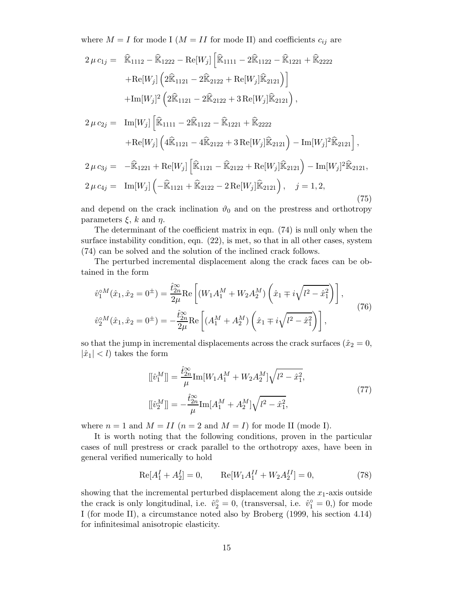where  $M = I$  for mode I ( $M = II$  for mode II) and coefficients  $c_{ij}$  are

$$
2 \mu c_{1j} = \widehat{\mathbb{K}}_{1112} - \widehat{\mathbb{K}}_{1222} - \text{Re}[W_j] \left[ \widehat{\mathbb{K}}_{1111} - 2 \widehat{\mathbb{K}}_{1122} - \widehat{\mathbb{K}}_{1221} + \widehat{\mathbb{K}}_{2222} + \text{Re}[W_j] \left( 2 \widehat{\mathbb{K}}_{1121} - 2 \widehat{\mathbb{K}}_{2122} + \text{Re}[W_j] \widehat{\mathbb{K}}_{2121} \right) \right] + \text{Im}[W_j]^2 \left( 2 \widehat{\mathbb{K}}_{1121} - 2 \widehat{\mathbb{K}}_{2122} + 3 \text{Re}[W_j] \widehat{\mathbb{K}}_{2121} \right),
$$

$$
2 \mu c_{2j} = \text{Im}[W_j] \left[ \widehat{\mathbb{K}}_{1111} - 2\widehat{\mathbb{K}}_{1122} - \widehat{\mathbb{K}}_{1221} + \widehat{\mathbb{K}}_{2222} + \text{Re}[W_j] \left( 4\widehat{\mathbb{K}}_{1121} - 4\widehat{\mathbb{K}}_{2122} + 3 \text{Re}[W_j] \widehat{\mathbb{K}}_{2121} \right) - \text{Im}[W_j]^2 \widehat{\mathbb{K}}_{2121} \right],
$$
  
\n
$$
2 \mu c_{3j} = -\widehat{\mathbb{K}}_{1221} + \text{Re}[W_j] \left[ \widehat{\mathbb{K}}_{1121} - \widehat{\mathbb{K}}_{2122} + \text{Re}[W_j] \widehat{\mathbb{K}}_{2121} \right) - \text{Im}[W_j]^2 \widehat{\mathbb{K}}_{2121},
$$

$$
2 \mu c_{4j} = \operatorname{Im}[W_j] \left( -\widehat{\mathbb{K}}_{1121} + \widehat{\mathbb{K}}_{2122} - 2 \operatorname{Re}[W_j] \widehat{\mathbb{K}}_{2121} \right), \quad j = 1, 2,
$$
\n(75)

and depend on the crack inclination  $\vartheta_0$  and on the prestress and orthotropy parameters  $\xi$ , k and  $\eta$ .

The determinant of the coefficient matrix in eqn. (74) is null only when the surface instability condition, eqn. (22), is met, so that in all other cases, system (74) can be solved and the solution of the inclined crack follows.

The perturbed incremental displacement along the crack faces can be obtained in the form

$$
\hat{v}_1^{\circ M}(\hat{x}_1, \hat{x}_2 = 0^{\pm}) = \frac{\hat{t}_{2n}^{\circ \circ}}{2\mu} \text{Re}\left[ (W_1 A_1^M + W_2 A_2^M) \left( \hat{x}_1 \mp i \sqrt{l^2 - \hat{x}_1^2} \right) \right],
$$
\n
$$
\hat{v}_2^{\circ M}(\hat{x}_1, \hat{x}_2 = 0^{\pm}) = -\frac{\hat{t}_{2n}^{\circ \circ}}{2\mu} \text{Re}\left[ (A_1^M + A_2^M) \left( \hat{x}_1 \mp i \sqrt{l^2 - \hat{x}_1^2} \right) \right],
$$
\n(76)

so that the jump in incremental displacements across the crack surfaces ( $\hat{x}_2 = 0$ ,  $|\hat{x}_1| < l$  takes the form

$$
[[\hat{v}_1^M]] = \frac{\hat{t}_{2n}^{\infty}}{\mu} \text{Im}[W_1 A_1^M + W_2 A_2^M] \sqrt{l^2 - \hat{x}_1^2},
$$
  

$$
[[\hat{v}_2^M]] = -\frac{\hat{t}_{2n}^{\infty}}{\mu} \text{Im}[A_1^M + A_2^M] \sqrt{l^2 - \hat{x}_1^2},
$$
 (77)

where  $n = 1$  and  $M = II$   $(n = 2$  and  $M = I)$  for mode II (mode I).

It is worth noting that the following conditions, proven in the particular cases of null prestress or crack parallel to the orthotropy axes, have been in general verified numerically to hold

$$
Re[A_1^I + A_2^I] = 0, \qquad Re[W_1 A_1^{II} + W_2 A_2^{II}] = 0,
$$
\n(78)

showing that the incremental perturbed displacement along the  $x_1$ -axis outside the crack is only longitudinal, i.e.  $\hat{v}_2^{\circ} = 0$ , (transversal, i.e.  $\hat{v}_1^{\circ} = 0$ ,) for mode I (for mode II), a circumstance noted also by Broberg (1999, his section 4.14) for infinitesimal anisotropic elasticity.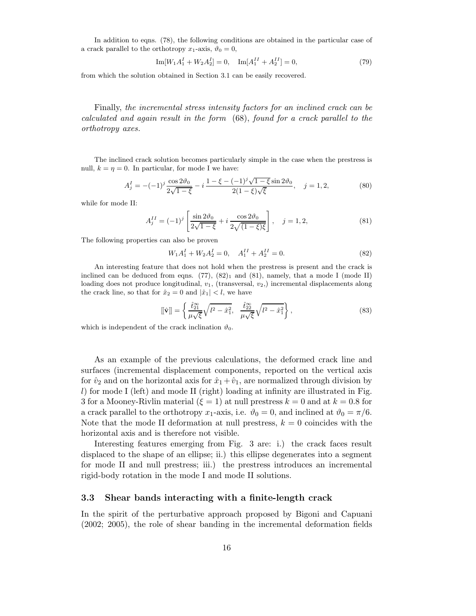In addition to eqns. (78), the following conditions are obtained in the particular case of a crack parallel to the orthotropy  $x_1$ -axis,  $\vartheta_0 = 0$ ,

$$
\operatorname{Im}[W_1 A_1^I + W_2 A_2^I] = 0, \quad \operatorname{Im}[A_1^{II} + A_2^{II}] = 0,\tag{79}
$$

from which the solution obtained in Section 3.1 can be easily recovered.

Finally, *the incremental stress intensity factors for an inclined crack can be calculated and again result in the form* (68), *found for a crack parallel to the orthotropy axes.*

The inclined crack solution becomes particularly simple in the case when the prestress is null,  $k = \eta = 0$ . In particular, for mode I we have:

$$
A_j^I = -(-1)^j \frac{\cos 2\vartheta_0}{2\sqrt{1-\xi}} - i \frac{1-\xi - (-1)^j \sqrt{1-\xi} \sin 2\vartheta_0}{2(1-\xi)\sqrt{\xi}}, \quad j = 1, 2,
$$
 (80)

while for mode II:

$$
A_j^{II} = (-1)^j \left[ \frac{\sin 2\vartheta_0}{2\sqrt{1-\xi}} + i \frac{\cos 2\vartheta_0}{2\sqrt{(1-\xi)\xi}} \right], \quad j = 1, 2,
$$
 (81)

The following properties can also be proven

$$
W_1 A_1^I + W_2 A_2^I = 0, \quad A_1^{II} + A_2^{II} = 0.
$$
\n
$$
(82)
$$

An interesting feature that does not hold when the prestress is present and the crack is inclined can be deduced from eqns.  $(77)$ ,  $(82)_1$  and  $(81)$ , namely, that a mode I (mode II) loading does not produce longitudinal,  $v_1$ , (transversal,  $v_2$ ) incremental displacements along the crack line, so that for  $\hat{x}_2 = 0$  and  $|\hat{x}_1| < l$ , we have

$$
[[\hat{\mathbf{v}}]] = \left\{ \frac{\hat{t}_{21}^{\infty}}{\mu \sqrt{\xi}} \sqrt{l^2 - \hat{x}_1^2}, \frac{\hat{t}_{22}^{\infty}}{\mu \sqrt{\xi}} \sqrt{l^2 - \hat{x}_1^2} \right\},
$$
\n(83)

which is independent of the crack inclination  $\vartheta_0$ .

As an example of the previous calculations, the deformed crack line and surfaces (incremental displacement components, reported on the vertical axis for  $\hat{v}_2$  and on the horizontal axis for  $\hat{x}_1 + \hat{v}_1$ , are normalized through division by  $l$ ) for mode I (left) and mode II (right) loading at infinity are illustrated in Fig. 3 for a Mooney-Rivlin material  $(\xi = 1)$  at null prestress  $k = 0$  and at  $k = 0.8$  for a crack parallel to the orthotropy  $x_1$ -axis, i.e.  $\vartheta_0 = 0$ , and inclined at  $\vartheta_0 = \pi/6$ . Note that the mode II deformation at null prestress,  $k = 0$  coincides with the horizontal axis and is therefore not visible.

Interesting features emerging from Fig. 3 are: i.) the crack faces result displaced to the shape of an ellipse; ii.) this ellipse degenerates into a segment for mode II and null prestress; iii.) the prestress introduces an incremental rigid-body rotation in the mode I and mode II solutions.

#### **3.3 Shear bands interacting with a finite-length crack**

In the spirit of the perturbative approach proposed by Bigoni and Capuani (2002; 2005), the role of shear banding in the incremental deformation fields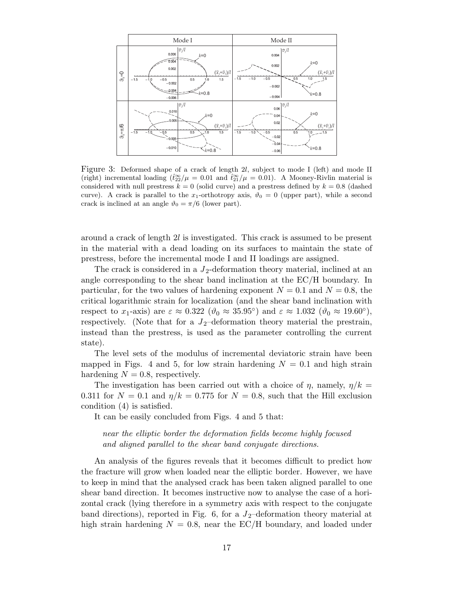

Figure 3: Deformed shape of a crack of length 2l, subject to mode I (left) and mode II (right) incremental loading  $(\hat{t}_{22}^{\infty}/\mu = 0.01$  and  $\hat{t}_{21}^{\infty}/\mu = 0.01$ ). A Mooney-Rivlin material is considered with null prestress  $k = 0$  (solid curve) and a prestress defined by  $k = 0.8$  (dashed curve). A crack is parallel to the x<sub>1</sub>-orthotropy axis,  $\vartheta_0 = 0$  (upper part), while a second crack is inclined at an angle  $\vartheta_0 = \pi/6$  (lower part).

around a crack of length 2l is investigated. This crack is assumed to be present in the material with a dead loading on its surfaces to maintain the state of prestress, before the incremental mode I and II loadings are assigned.

The crack is considered in a  $J_2$ -deformation theory material, inclined at an angle corresponding to the shear band inclination at the EC/H boundary. In particular, for the two values of hardening exponent  $N = 0.1$  and  $N = 0.8$ , the critical logarithmic strain for localization (and the shear band inclination with respect to  $x_1$ -axis) are  $\varepsilon \approx 0.322$   $(\vartheta_0 \approx 35.95^{\circ})$  and  $\varepsilon \approx 1.032$   $(\vartheta_0 \approx 19.60^{\circ})$ , respectively. (Note that for a  $J_2$ -deformation theory material the prestrain, instead than the prestress, is used as the parameter controlling the current state).

The level sets of the modulus of incremental deviatoric strain have been mapped in Figs. 4 and 5, for low strain hardening  $N = 0.1$  and high strain hardening  $N = 0.8$ , respectively.

The investigation has been carried out with a choice of  $\eta$ , namely,  $\eta/k =$ 0.311 for  $N = 0.1$  and  $\eta/k = 0.775$  for  $N = 0.8$ , such that the Hill exclusion condition (4) is satisfied.

It can be easily concluded from Figs. 4 and 5 that:

*near the elliptic border the deformation fields become highly focused and aligned parallel to the shear band conjugate directions.*

An analysis of the figures reveals that it becomes difficult to predict how the fracture will grow when loaded near the elliptic border. However, we have to keep in mind that the analysed crack has been taken aligned parallel to one shear band direction. It becomes instructive now to analyse the case of a horizontal crack (lying therefore in a symmetry axis with respect to the conjugate band directions), reported in Fig. 6, for a  $J_2$ -deformation theory material at high strain hardening  $N = 0.8$ , near the EC/H boundary, and loaded under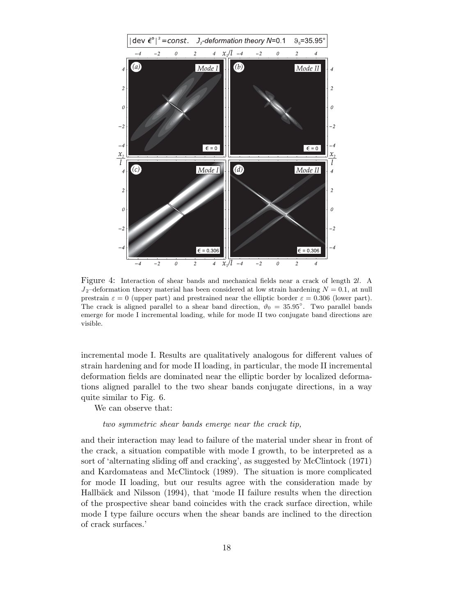

Figure 4: Interaction of shear bands and mechanical fields near a crack of length 2l. A  $J_2$ -deformation theory material has been considered at low strain hardening  $N = 0.1$ , at null prestrain  $\varepsilon = 0$  (upper part) and prestrained near the elliptic border  $\varepsilon = 0.306$  (lower part). The crack is aligned parallel to a shear band direction,  $\vartheta_0 = 35.95^\circ$ . Two parallel bands emerge for mode I incremental loading, while for mode II two conjugate band directions are visible.

incremental mode I. Results are qualitatively analogous for different values of strain hardening and for mode II loading, in particular, the mode II incremental deformation fields are dominated near the elliptic border by localized deformations aligned parallel to the two shear bands conjugate directions, in a way quite similar to Fig. 6.

We can observe that:

#### *two symmetric shear bands emerge near the crack tip,*

and their interaction may lead to failure of the material under shear in front of the crack, a situation compatible with mode I growth, to be interpreted as a sort of 'alternating sliding off and cracking', as suggested by McClintock (1971) and Kardomateas and McClintock (1989). The situation is more complicated for mode II loading, but our results agree with the consideration made by Hallbäck and Nilsson (1994), that 'mode II failure results when the direction of the prospective shear band coincides with the crack surface direction, while mode I type failure occurs when the shear bands are inclined to the direction of crack surfaces.'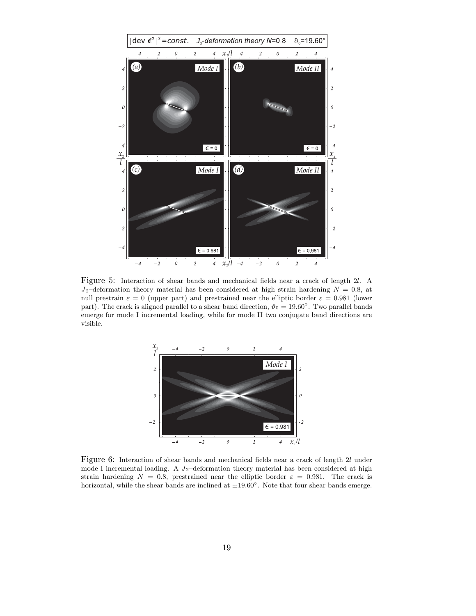

Figure 5: Interaction of shear bands and mechanical fields near a crack of length 2l. A  $J_2$ -deformation theory material has been considered at high strain hardening  $N = 0.8$ , at null prestrain  $\varepsilon = 0$  (upper part) and prestrained near the elliptic border  $\varepsilon = 0.981$  (lower part). The crack is aligned parallel to a shear band direction,  $\vartheta_0 = 19.60°$ . Two parallel bands emerge for mode I incremental loading, while for mode II two conjugate band directions are visible.



Figure 6: Interaction of shear bands and mechanical fields near a crack of length 2l under mode I incremental loading. A  $J_2$ -deformation theory material has been considered at high strain hardening  $N = 0.8$ , prestrained near the elliptic border  $\varepsilon = 0.981$ . The crack is horizontal, while the shear bands are inclined at  $\pm 19.60°$ . Note that four shear bands emerge.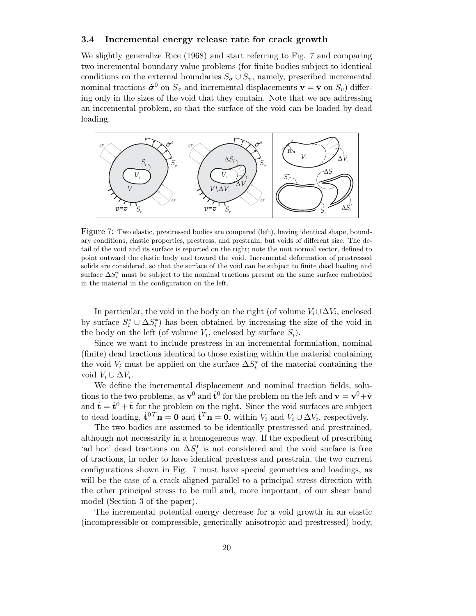#### **3.4 Incremental energy release rate for crack growth**

We slightly generalize Rice (1968) and start referring to Fig. 7 and comparing two incremental boundary value problems (for finite bodies subject to identical conditions on the external boundaries  $S_{\sigma} \cup S_{v}$ , namely, prescribed incremental nominal tractions  $\dot{\sigma}^0$  on  $S_{\sigma}$  and incremental displacements  $\mathbf{v} = \bar{\mathbf{v}}$  on  $S_v$ ) differing only in the sizes of the void that they contain. Note that we are addressing an incremental problem, so that the surface of the void can be loaded by dead loading.



Figure 7: Two elastic, prestressed bodies are compared (left), having identical shape, boundary conditions, elastic properties, prestress, and prestrain, but voids of different size. The detail of the void and its surface is reported on the right; note the unit normal vector, defined to point outward the elastic body and toward the void. Incremental deformation of prestressed solids are considered, so that the surface of the void can be subject to finite dead loading and surface  $\Delta S_i^*$  must be subject to the nominal tractions present on the same surface embedded in the material in the configuration on the left.

In particular, the void in the body on the right (of volume  $V_i \cup \Delta V_i$ , enclosed by surface  $S_i^* \cup \Delta S_i^*$  has been obtained by increasing the size of the void in the body on the left (of volume  $V_i$ , enclosed by surface  $S_i$ ).

Since we want to include prestress in an incremental formulation, nominal (finite) dead tractions identical to those existing within the material containing the void  $V_i$  must be applied on the surface  $\Delta S_i^*$  of the material containing the void  $V_i \cup \Delta V_i$ .

We define the incremental displacement and nominal traction fields, solutions to the two problems, as  $\mathbf{v}^0$  and  $\dot{\mathbf{t}}^0$  for the problem on the left and  $\mathbf{v} = \mathbf{v}^0 + \tilde{\mathbf{v}}$ and  $\dot{\mathbf{t}} = \dot{\mathbf{t}}^0 + \tilde{\mathbf{t}}$  for the problem on the right. Since the void surfaces are subject to dead loading,  $\dot{\mathbf{t}}^{0T}\mathbf{n} = \mathbf{0}$  and  $\dot{\mathbf{t}}^T\mathbf{n} = \mathbf{0}$ , within  $V_i$  and  $V_i \cup \Delta V_i$ , respectively.

The two bodies are assumed to be identically prestressed and prestrained, although not necessarily in a homogeneous way. If the expedient of prescribing 'ad hoc' dead tractions on  $\Delta S_i^*$  is not considered and the void surface is free of tractions, in order to have identical prestress and prestrain, the two current configurations shown in Fig. 7 must have special geometries and loadings, as will be the case of a crack aligned parallel to a principal stress direction with the other principal stress to be null and, more important, of our shear band model (Section 3 of the paper).

The incremental potential energy decrease for a void growth in an elastic (incompressible or compressible, generically anisotropic and prestressed) body,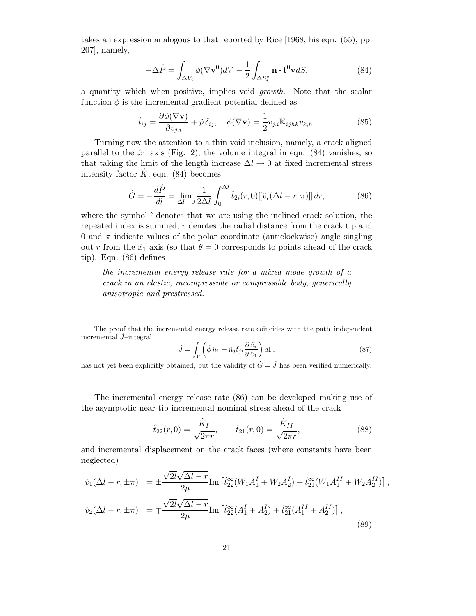takes an expression analogous to that reported by Rice [1968, his eqn. (55), pp. 207], namely,

$$
-\Delta \dot{P} = \int_{\Delta V_i} \phi (\nabla \mathbf{v}^0) dV - \frac{1}{2} \int_{\Delta S_i^*} \mathbf{n} \cdot \mathbf{t}^0 \tilde{\mathbf{v}} dS,
$$
 (84)

a quantity which when positive, implies void *growth*. Note that the scalar function  $\phi$  is the incremental gradient potential defined as

$$
\dot{t}_{ij} = \frac{\partial \phi(\nabla \mathbf{v})}{\partial v_{j,i}} + \dot{p} \,\delta_{ij}, \quad \phi(\nabla \mathbf{v}) = \frac{1}{2} v_{j,i} \mathbb{K}_{ijhk} v_{k,h}.
$$
\n(85)

Turning now the attention to a thin void inclusion, namely, a crack aligned parallel to the  $\hat{x}_1$ –axis (Fig. 2), the volume integral in eqn. (84) vanishes, so that taking the limit of the length increase  $\Delta l \rightarrow 0$  at fixed incremental stress intensity factor  $\hat{K}$ , eqn. (84) becomes

$$
\dot{G} = -\frac{d\dot{P}}{dl} = \lim_{\Delta l \to 0} \frac{1}{2\Delta l} \int_0^{\Delta l} \hat{t}_{2i}(r,0) \left[ \left[ \hat{v}_i(\Delta l - r, \pi) \right] \right] dr,\tag{86}
$$

where the symbol  $\hat{\cdot}$  denotes that we are using the inclined crack solution, the repeated index is summed, r denotes the radial distance from the crack tip and 0 and  $\pi$  indicate values of the polar coordinate (anticlockwise) angle singling out r from the  $\hat{x}_1$  axis (so that  $\theta = 0$  corresponds to points ahead of the crack tip). Eqn. (86) defines

*the incremental energy release rate for a mixed mode growth of a crack in an elastic, incompressible or compressible body, generically anisotropic and prestressed.*

The proof that the incremental energy release rate coincides with the path–independent incremental  $\dot{J}$ –integral

$$
\dot{J} = \int_{\Gamma} \left( \hat{\phi} \,\hat{n}_1 - \hat{n}_j \hat{t}_{ji} \frac{\partial \,\hat{v}_i}{\partial \,\hat{x}_1} \right) d\Gamma, \tag{87}
$$

has not yet been explicitly obtained, but the validity of  $\dot{G} = \dot{J}$  has been verified numerically.

The incremental energy release rate (86) can be developed making use of the asymptotic near-tip incremental nominal stress ahead of the crack

$$
\hat{t}_{22}(r,0) = \frac{\dot{K}_I}{\sqrt{2\pi r}}, \qquad \hat{t}_{21}(r,0) = \frac{\dot{K}_{II}}{\sqrt{2\pi r}},
$$
\n(88)

,

and incremental displacement on the crack faces (where constants have been neglected)

$$
\hat{v}_1(\Delta l - r, \pm \pi) = \pm \frac{\sqrt{2l}\sqrt{\Delta l - r}}{2\mu} \text{Im} \left[ \hat{t}_{22}^{\infty}(W_1 A_1^I + W_2 A_2^I) + \hat{t}_{21}^{\infty}(W_1 A_1^{II} + W_2 A_2^{II}) \right]
$$
  

$$
\hat{v}_2(\Delta l - r, \pm \pi) = \mp \frac{\sqrt{2l}\sqrt{\Delta l - r}}{2\mu} \text{Im} \left[ \hat{t}_{22}^{\infty}(A_1^I + A_2^I) + \hat{t}_{21}^{\infty}(A_1^{II} + A_2^{II}) \right],
$$
\n(89)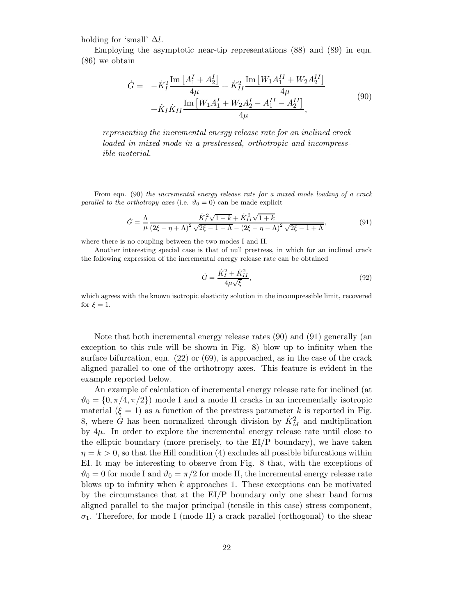holding for 'small'  $\Delta l$ .

Employing the asymptotic near-tip representations (88) and (89) in eqn. (86) we obtain

$$
\dot{G} = -\dot{K}_{I}^{2} \frac{\text{Im} [A_{1}^{I} + A_{2}^{I}]}{4\mu} + \dot{K}_{II}^{2} \frac{\text{Im} [W_{1}A_{1}^{II} + W_{2}A_{2}^{II}]}{4\mu} + \dot{K}_{I}\dot{K}_{II} \frac{\text{Im} [W_{1}A_{1}^{I} + W_{2}A_{2}^{I} - A_{1}^{II} - A_{2}^{II}]}{4\mu},
$$
\n(90)

*representing the incremental energy release rate for an inclined crack loaded in mixed mode in a prestressed, orthotropic and incompressible material.*

From eqn. (90) *the incremental energy release rate for a mixed mode loading of a crack parallel to the orthotropy axes* (i.e.  $\vartheta_0 = 0$ ) can be made explicit

$$
\dot{G} = \frac{\Lambda}{\mu} \frac{\dot{K}_{I}^{2} \sqrt{1 - k} + \dot{K}_{II}^{2} \sqrt{1 + k}}{(2\xi - \eta + \Lambda)^{2} \sqrt{2\xi - 1 - \Lambda} - (2\xi - \eta - \Lambda)^{2} \sqrt{2\xi - 1 + \Lambda}},
$$
(91)

where there is no coupling between the two modes I and II.

Another interesting special case is that of null prestress, in which for an inclined crack the following expression of the incremental energy release rate can be obtained

$$
\dot{G} = \frac{\dot{K}_I^2 + \dot{K}_{II}^2}{4\mu\sqrt{\xi}},\tag{92}
$$

which agrees with the known isotropic elasticity solution in the incompressible limit, recovered for  $\xi = 1$ .

Note that both incremental energy release rates (90) and (91) generally (an exception to this rule will be shown in Fig. 8) blow up to infinity when the surface bifurcation, eqn. (22) or (69), is approached, as in the case of the crack aligned parallel to one of the orthotropy axes. This feature is evident in the example reported below.

An example of calculation of incremental energy release rate for inclined (at  $\vartheta_0 = \{0, \pi/4, \pi/2\}$  mode I and a mode II cracks in an incrementally isotropic material  $(\xi = 1)$  as a function of the prestress parameter k is reported in Fig. 8, where  $\dot{G}$  has been normalized through division by  $\dot{K}_M^2$  and multiplication by  $4\mu$ . In order to explore the incremental energy release rate until close to the elliptic boundary (more precisely, to the EI/P boundary), we have taken  $\eta = k > 0$ , so that the Hill condition (4) excludes all possible bifurcations within EI. It may be interesting to observe from Fig. 8 that, with the exceptions of  $\vartheta_0 = 0$  for mode I and  $\vartheta_0 = \pi/2$  for mode II, the incremental energy release rate blows up to infinity when  $k$  approaches 1. These exceptions can be motivated by the circumstance that at the EI/P boundary only one shear band forms aligned parallel to the major principal (tensile in this case) stress component,  $\sigma_1$ . Therefore, for mode I (mode II) a crack parallel (orthogonal) to the shear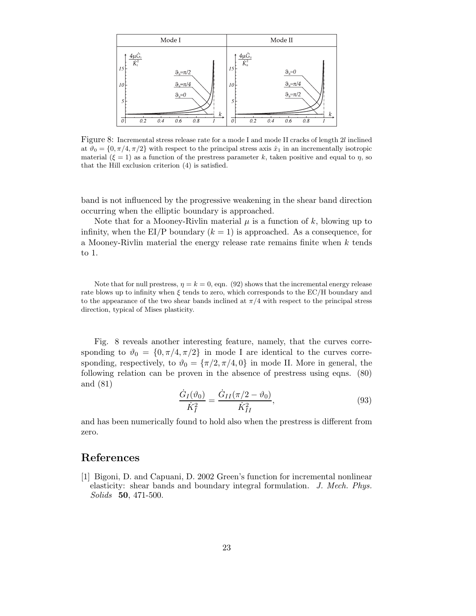

Figure 8: Incremental stress release rate for a mode I and mode II cracks of length 2l inclined at  $\vartheta_0 = \{0, \pi/4, \pi/2\}$  with respect to the principal stress axis  $\hat{x}_1$  in an incrementally isotropic material  $(\xi = 1)$  as a function of the prestress parameter k, taken positive and equal to  $\eta$ , so that the Hill exclusion criterion (4) is satisfied.

band is not influenced by the progressive weakening in the shear band direction occurring when the elliptic boundary is approached.

Note that for a Mooney-Rivlin material  $\mu$  is a function of k, blowing up to infinity, when the EI/P boundary  $(k = 1)$  is approached. As a consequence, for a Mooney-Rivlin material the energy release rate remains finite when k tends to 1.

Note that for null prestress,  $\eta = k = 0$ , eqn. (92) shows that the incremental energy release rate blows up to infinity when  $\xi$  tends to zero, which corresponds to the EC/H boundary and to the appearance of the two shear bands inclined at  $\pi/4$  with respect to the principal stress direction, typical of Mises plasticity.

Fig. 8 reveals another interesting feature, namely, that the curves corresponding to  $\vartheta_0 = \{0, \pi/4, \pi/2\}$  in mode I are identical to the curves corresponding, respectively, to  $\vartheta_0 = {\pi/2, \pi/4, 0}$  in mode II. More in general, the following relation can be proven in the absence of prestress using eqns. (80) and (81)

$$
\frac{\dot{G}_I(\vartheta_0)}{\dot{K}_I^2} = \frac{\dot{G}_{II}(\pi/2 - \vartheta_0)}{\dot{K}_{II}^2},\tag{93}
$$

and has been numerically found to hold also when the prestress is different from zero.

# **References**

[1] Bigoni, D. and Capuani, D. 2002 Green's function for incremental nonlinear elasticity: shear bands and boundary integral formulation. *J. Mech. Phys. Solids* **50**, 471-500.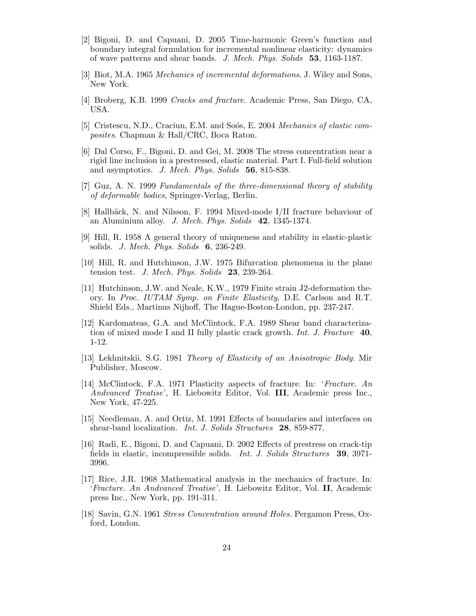- [2] Bigoni, D. and Capuani, D. 2005 Time-harmonic Green's function and boundary integral formulation for incremental nonlinear elasticity: dynamics of wave patterns and shear bands. *J. Mech. Phys. Solids* **53**, 1163-1187.
- [3] Biot, M.A. 1965 *Mechanics of incremental deformations*. J. Wiley and Sons, New York.
- [4] Broberg, K.B. 1999 *Cracks and fracture*. Academic Press, San Diego, CA, USA.
- [5] Cristescu, N.D., Craciun, E.M. and So´os, E. 2004 *Mechanics of elastic composites*. Chapman & Hall/CRC, Boca Raton.
- [6] Dal Corso, F., Bigoni, D. and Gei, M. 2008 The stress concentration near a rigid line inclusion in a prestressed, elastic material. Part I. Full-field solution and asymptotics. *J. Mech. Phys. Solids* **56**, 815-838.
- [7] Guz, A. N. 1999 *Fundamentals of the three-dimensional theory of stability of deformable bodies*, Springer-Verlag, Berlin.
- [8] Hallbäck, N. and Nilsson, F. 1994 Mixed-mode I/II fracture behaviour of an Aluminium alloy. *J. Mech. Phys. Solids* **42**, 1345-1374.
- [9] Hill, R. 1958 A general theory of uniqueness and stability in elastic-plastic solids. *J. Mech. Phys. Solids* **6**, 236-249.
- [10] Hill, R. and Hutchinson, J.W. 1975 Bifurcation phenomena in the plane tension test. *J. Mech. Phys. Solids* **23**, 239-264.
- [11] Hutchinson, J.W. and Neale, K.W., 1979 Finite strain J2-deformation theory. In *Proc. IUTAM Symp. on Finite Elasticity*, D.E. Carlson and R.T. Shield Eds., Martinus Nijhoff, The Hague-Boston-London, pp. 237-247.
- [12] Kardomateas, G.A. and McClintock, F.A. 1989 Shear band characterization of mixed mode I and II fully plastic crack growth. *Int. J. Fracture* **40**, 1-12.
- [13] Lekhnitskii, S.G. 1981 *Theory of Elasticity of an Anisotropic Body*. Mir Publisher, Moscow.
- [14] McClintock, F.A. 1971 Plasticity aspects of fracture. In: '*Fracture. An Andvanced Treatise*', H. Liebowitz Editor, Vol. **III**, Academic press Inc., New York, 47-225.
- [15] Needleman, A. and Ortiz, M. 1991 Effects of boundaries and interfaces on shear-band localization. *Int. J. Solids Structures* **28**, 859-877.
- [16] Radi, E., Bigoni, D. and Capuani, D. 2002 Effects of prestress on crack-tip fields in elastic, incompressible solids. *Int. J. Solids Structures* **39**, 3971- 3996.
- [17] Rice, J.R. 1968 Mathematical analysis in the mechanics of fracture. In: '*Fracture. An Andvanced Treatise*', H. Liebowitz Editor, Vol. **II**, Academic press Inc., New York, pp. 191-311.
- [18] Savin, G.N. 1961 *Stress Concentration around Holes.* Pergamon Press, Oxford, London.